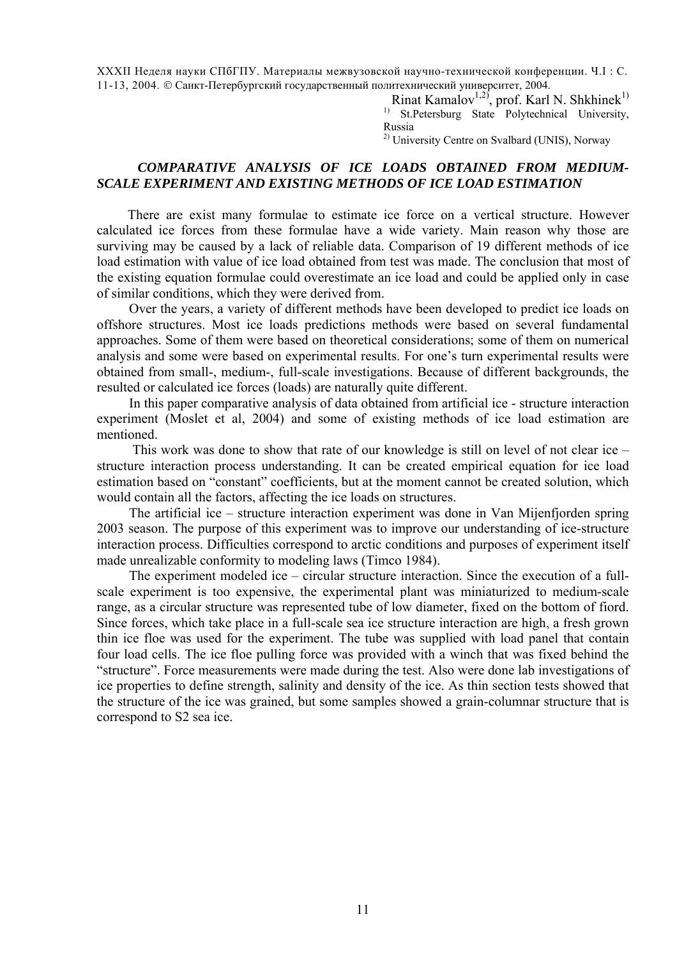XXXII Неделя науки СПбГПУ. Материалы межвузовской научно-технической конференции. Ч.I : С. 11-13, 2004. © Санкт-Петербургский государственный политехнический университет, 2004.

> Rinat Kamalov<sup>1,2)</sup>, prof. Karl N. Shkhinek<sup>1)</sup> <sup>1)</sup> St.Petersburg State Polytechnical University, Russia

<sup>2)</sup> University Centre on Svalbard (UNIS), Norway

## *COMPARATIVE ANALYSIS OF ICE LOADS OBTAINED FROM MEDIUM-SCALE EXPERIMENT AND EXISTING METHODS OF ICE LOAD ESTIMATION*

There are exist many formulae to estimate ice force on a vertical structure. However calculated ice forces from these formulae have a wide variety. Main reason why those are surviving may be caused by a lack of reliable data. Comparison of 19 different methods of ice load estimation with value of ice load obtained from test was made. The conclusion that most of the existing equation formulae could overestimate an ice load and could be applied only in case of similar conditions, which they were derived from.

Over the years, a variety of different methods have been developed to predict ice loads on offshore structures. Most ice loads predictions methods were based on several fundamental approaches. Some of them were based on theoretical considerations; some of them on numerical analysis and some were based on experimental results. For one's turn experimental results were obtained from small-, medium-, full-scale investigations. Because of different backgrounds, the resulted or calculated ice forces (loads) are naturally quite different.

In this paper comparative analysis of data obtained from artificial ice - structure interaction experiment (Moslet et al, 2004) and some of existing methods of ice load estimation are mentioned.

 This work was done to show that rate of our knowledge is still on level of not clear ice – structure interaction process understanding. It can be created empirical equation for ice load estimation based on "constant" coefficients, but at the moment cannot be created solution, which would contain all the factors, affecting the ice loads on structures.

The artificial ice – structure interaction experiment was done in Van Mijenfjorden spring 2003 season. The purpose of this experiment was to improve our understanding of ice-structure interaction process. Difficulties correspond to arctic conditions and purposes of experiment itself made unrealizable conformity to modeling laws (Timco 1984).

The experiment modeled ice – circular structure interaction. Since the execution of a fullscale experiment is too expensive, the experimental plant was miniaturized to medium-scale range, as a circular structure was represented tube of low diameter, fixed on the bottom of fiord. Since forces, which take place in a full-scale sea ice structure interaction are high, a fresh grown thin ice floe was used for the experiment. The tube was supplied with load panel that contain four load cells. The ice floe pulling force was provided with a winch that was fixed behind the "structure". Force measurements were made during the test. Also were done lab investigations of ice properties to define strength, salinity and density of the ice. As thin section tests showed that the structure of the ice was grained, but some samples showed a grain-columnar structure that is correspond to S2 sea ice.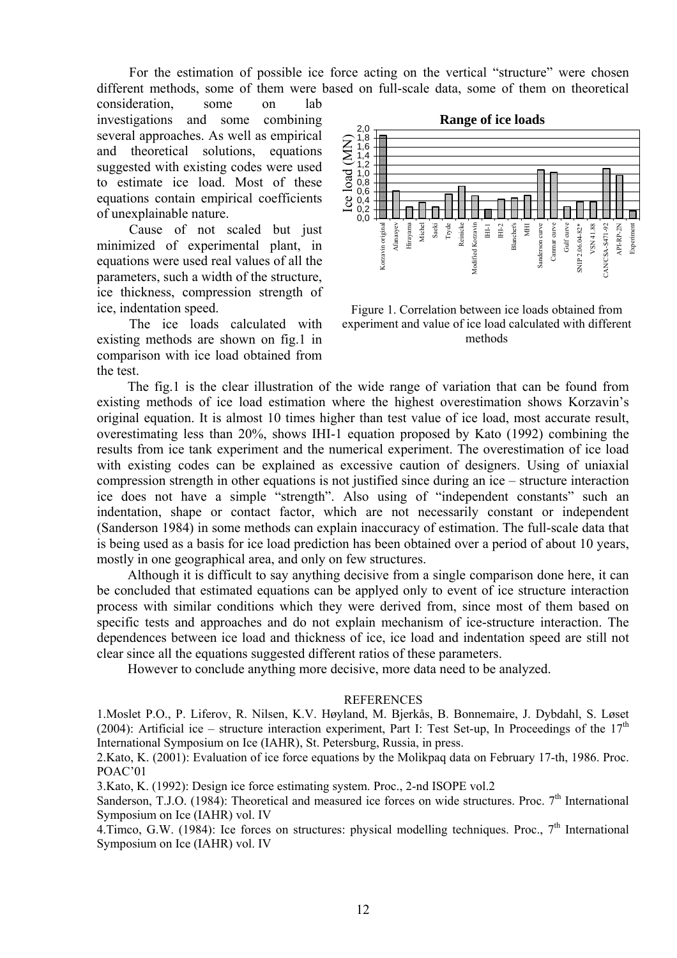For the estimation of possible ice force acting on the vertical "structure" were chosen different methods, some of them were based on full-scale data, some of them on theoretical

consideration, some on lab investigations and some combining several approaches. As well as empirical and theoretical solutions, equations suggested with existing codes were used to estimate ice load. Most of these equations contain empirical coefficients of unexplainable nature.

Cause of not scaled but just minimized of experimental plant, in equations were used real values of all the parameters, such a width of the structure, ice thickness, compression strength of ice, indentation speed.

The ice loads calculated with existing methods are shown on fig.1 in comparison with ice load obtained from the test.



Figure 1. Correlation between ice loads obtained from experiment and value of ice load calculated with different methods

The fig.1 is the clear illustration of the wide range of variation that can be found from existing methods of ice load estimation where the highest overestimation shows Korzavin's original equation. It is almost 10 times higher than test value of ice load, most accurate result, overestimating less than 20%, shows IHI-1 equation proposed by Kato (1992) combining the results from ice tank experiment and the numerical experiment. The overestimation of ice load with existing codes can be explained as excessive caution of designers. Using of uniaxial compression strength in other equations is not justified since during an ice – structure interaction ice does not have a simple "strength". Also using of "independent constants" such an indentation, shape or contact factor, which are not necessarily constant or independent (Sanderson 1984) in some methods can explain inaccuracy of estimation. The full-scale data that is being used as a basis for ice load prediction has been obtained over a period of about 10 years, mostly in one geographical area, and only on few structures.

Although it is difficult to say anything decisive from a single comparison done here, it can be concluded that estimated equations can be applyed only to event of ice structure interaction process with similar conditions which they were derived from, since most of them based on specific tests and approaches and do not explain mechanism of ice-structure interaction. The dependences between ice load and thickness of ice, ice load and indentation speed are still not clear since all the equations suggested different ratios of these parameters.

However to conclude anything more decisive, more data need to be analyzed.

## **REFERENCES**

1.Moslet P.O., P. Liferov, R. Nilsen, K.V. Høyland, M. Bjerkås, B. Bonnemaire, J. Dybdahl, S. Løset (2004): Artificial ice – structure interaction experiment, Part I: Test Set-up, In Proceedings of the  $17<sup>th</sup>$ International Symposium on Ice (IAHR), St. Petersburg, Russia, in press.

2.Kato, K. (2001): Evaluation of ice force equations by the Molikpaq data on February 17-th, 1986. Proc. POAC'01

3.Kato, K. (1992): Design ice force estimating system. Proc., 2-nd ISOPE vol.2

Sanderson, T.J.O. (1984): Theoretical and measured ice forces on wide structures. Proc.  $7<sup>th</sup>$  International Symposium on Ice (IAHR) vol. IV

 $4.\overline{\text{Timeo}}$ , G.W. (1984): Ice forces on structures: physical modelling techniques. Proc.,  $7^{\text{th}}$  International Symposium on Ice (IAHR) vol. IV